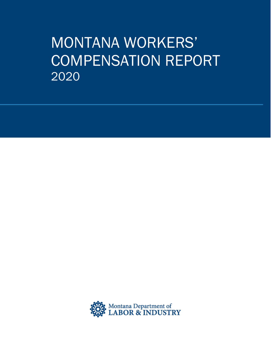# MONTANA WORKERS' COMPENSATION REPORT 2020

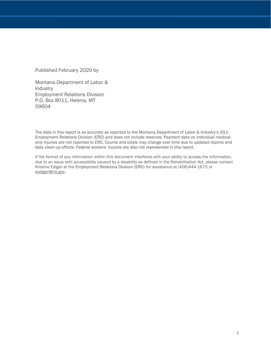Published February 2020 by

Montana Department of Labor & Industry Employment Relations Division P.O. Box 8011, Helena, MT 59604

The data in this report is as accurate as reported to the Montana Department of Labor & Industry's (DLI) Employment Relations Division (ERD) and does not include reserves. Payment data on individual medicalonly injuries are not reported to ERD. Counts and totals may change over time due to updated reports and data clean-up efforts. Federal workers' injuries are also not represented in this report.

If the format of any information within this document interferes with your ability to access the information, due to an issue with accessibility caused by a disability as defined in the Rehabilitation Act, please contact Kristine Ediger at the Employment Relations Division (ERD) for assistance at (406)444-1675 or [kediger@mt.gov.](mailto:kediger@mt.gov)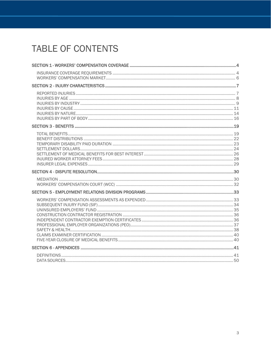## TABLE OF CONTENTS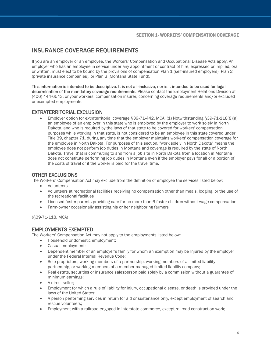## <span id="page-3-0"></span>INSURANCE COVERAGE REQUIREMENTS

If you are an employer or an employee, the Workers' Compensation and Occupational Disease Acts apply. An employer who has an employee in service under any appointment or contract of hire, expressed or implied, oral or written, must elect to be bound by the provisions of compensation Plan 1 (self-insured employers), Plan 2 (private insurance companies), or Plan 3 (Montana State Fund).

This information is intended to be descriptive. It is not all-inclusive, nor is it intended to be used for legal determination of the mandatory coverage requirements. Please contact the Employment Relations Division at (406) 444-6543, or your workers' compensation insurer, concerning coverage requirements and/or excluded or exempted employments.

#### EXTRATERRITORIAL EXCLUSION

• Employer option for extraterritorial coverage §39-71-442, MCA: (1) Notwithstanding §39-71-118(8)(a) an employee of an employer in this state who is employed by the employer to work solely in North Dakota, and who is required by the laws of that state to be covered for workers' compensation purposes while working in that state, is not considered to be an employee in this state covered under Title 39, chapter 71, during any time that the employer maintains workers' compensation coverage for the employee in North Dakota. For purposes of this section, "work solely in North Dakota" means the employee does not perform job duties in Montana and coverage is required by the state of North Dakota. Travel that is commuting to and from a job site in North Dakota from a location in Montana does not constitute performing job duties in Montana even if the employer pays for all or a portion of the costs of travel or if the worker is paid for the travel time.

#### OTHER EXCLUSIONS

The Workers' Compensation Act may exclude from the definition of employee the services listed below:

- Volunteers
- Volunteers at recreational facilities receiving no compensation other than meals, lodging, or the use of the recreational facilities
- Licensed foster parents providing care for no more than 6 foster children without wage compensation
- Farm-owner occasionally assisting his or her neighboring farmers

(§39-71-118, MCA)

#### EMPLOYMENTS EXEMPTED

The Workers' Compensation Act may not apply to the employments listed below:

- Household or domestic employment;
- Casual employment;
- Dependent member of an employer's family for whom an exemption may be Injured by the employer under the Federal Internal Revenue Code;
- Sole proprietors, working members of a partnership, working members of a limited liability partnership, or working members of a member-managed limited liability company;
- Real estate, securities or insurance salesperson paid solely by a commission without a guarantee of minimum earnings;
- A direct seller;
- Employment for which a rule of liability for injury, occupational disease, or death is provided under the laws of the United States;
- A person performing services in return for aid or sustenance only, except employment of search and rescue volunteers;
- Employment with a railroad engaged in interstate commerce, except railroad construction work;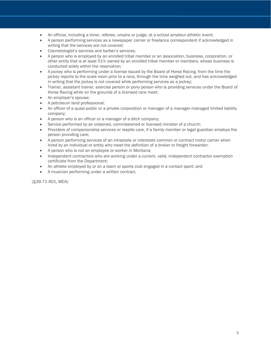- An official, including a timer, referee, umpire or judge, at a school amateur athletic event;
- A person performing services as a newspaper carrier or freelance correspondent if acknowledged in writing that the services are not covered;
- Cosmetologist's services and barber's services;
- A person who is employed by an enrolled tribal member or an association, business, corporation, or other entity that is at least 51% owned by an enrolled tribal member or members, whose business is conducted solely within the reservation;
- A jockey who is performing under a license issued by the Board of Horse Racing, from the time the jockey reports to the scale room prior to a race, through the time weighed out, and has acknowledged in writing that the jockey is not covered while performing services as a jockey;
- Trainer, assistant trainer, exercise person or pony person who is providing services under the Board of Horse Racing while on the grounds of a licensed race meet;
- An employer's spouse;
- A petroleum land professional;
- An officer of a quasi-public or a private corporation or manager of a manager-managed limited liability company;
- A person who is an officer or a manager of a ditch company;
- Service performed by an ordained, commissioned or licensed minister of a church;
- Providers of companionship services or respite care, if a family member or legal guardian employs the person providing care;
- A person performing services of an intrastate or interstate common or contract motor carrier when hired by an individual or entity who meet the definition of a broker or freight forwarder;
- A person who is not an employee or worker in Montana;
- Independent contractors who are working under a current, valid, independent contractor exemption certificate from the Department;
- An athlete employed by or on a team or sports club engaged in a contact sport; and
- <span id="page-4-0"></span>• A musician performing under a written contract.

(§39-71-401, MCA)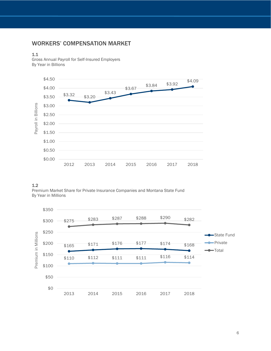## WORKERS' COMPENSATION MARKET

#### 1.1

Gross Annual Payroll for Self-Insured Employers By Year in Billions



#### 1.2

Premium Market Share for Private Insurance Companies and Montana State Fund By Year in Millions

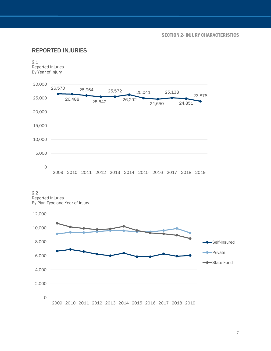## <span id="page-6-0"></span>REPORTED INJURIES



#### 2.2

Reported Injuries By Plan Type and Year of Injury

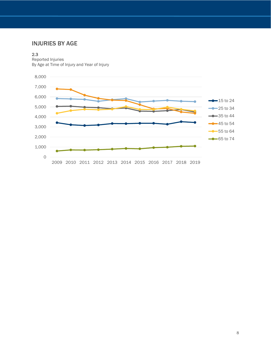## <span id="page-7-0"></span>INJURIES BY AGE

#### 2.3

Reported Injuries By Age at Time of Injury and Year of Injury

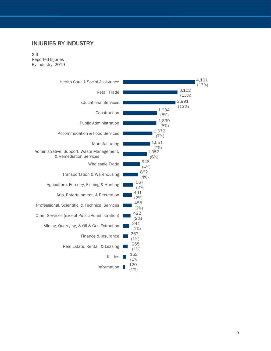## <span id="page-8-0"></span>INJURIES BY INDUSTRY

#### 2.4

Reported Injuries By Industry, 2019

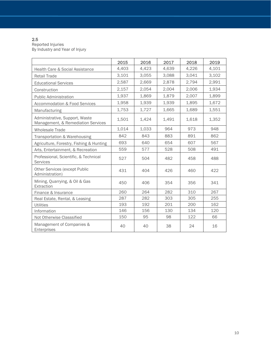#### 2.5

Reported Injuries By Industry and Year of Injury

|                                                                      | 2015  | 2016  | 2017  | 2018  | 2019  |
|----------------------------------------------------------------------|-------|-------|-------|-------|-------|
| Health Care & Social Assistance                                      | 4,403 | 4,423 | 4,639 | 4,226 | 4,101 |
| <b>Retail Trade</b>                                                  | 3,101 | 3,055 | 3,088 | 3,041 | 3,102 |
| <b>Educational Services</b>                                          | 2,587 | 2,669 | 2,878 | 2,794 | 2,991 |
| Construction                                                         | 2,157 | 2,054 | 2,004 | 2,006 | 1,934 |
| <b>Public Administration</b>                                         | 1,937 | 1,869 | 1,879 | 2,007 | 1,899 |
| <b>Accommodation &amp; Food Services</b>                             | 1,958 | 1,939 | 1,939 | 1,895 | 1,672 |
| Manufacturing                                                        | 1,753 | 1,727 | 1.665 | 1.689 | 1,551 |
| Administrative, Support, Waste<br>Management, & Remediation Services | 1,501 | 1,424 | 1,491 | 1,618 | 1,352 |
| <b>Wholesale Trade</b>                                               | 1,014 | 1,033 | 964   | 973   | 948   |
| Transportation & Warehousing                                         | 842   | 843   | 883   | 891   | 862   |
| Agriculture, Forestry, Fishing & Hunting                             | 693   | 640   | 654   | 607   | 567   |
| Arts, Entertainment, & Recreation                                    | 559   | 577   | 528   | 508   | 491   |
| Professional, Scientific, & Technical<br>Services                    | 527   | 504   | 482   | 458   | 488   |
| <b>Other Services (except Public</b><br>Administration)              | 431   | 404   | 426   | 460   | 422   |
| Mining, Quarrying, & Oil & Gas<br>Extraction                         | 450   | 406   | 354   | 356   | 341   |
| Finance & Insurance                                                  | 260   | 264   | 282   | 310   | 267   |
| Real Estate, Rental, & Leasing                                       | 287   | 282   | 303   | 305   | 255   |
| <b>Utilities</b>                                                     | 193   | 192   | 201   | 200   | 162   |
| Information                                                          | 146   | 156   | 130   | 134   | 120   |
| Not Otherwise Classsified                                            | 150   | 95    | 98    | 122   | 66    |
| Management of Companies &<br>Enterprises                             | 40    | 40    | 38    | 24    | 16    |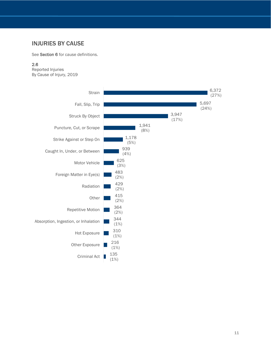## <span id="page-10-0"></span>INJURIES BY CAUSE

See Section 6 for cause definitions.

#### 2.6

Reported Injuries By Cause of Injury, 2019

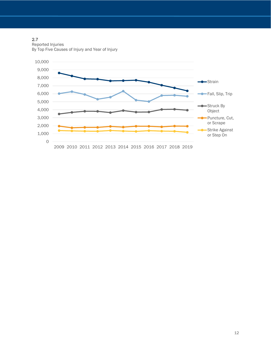2.7

Reported Injuries By Top Five Causes of Injury and Year of Injury

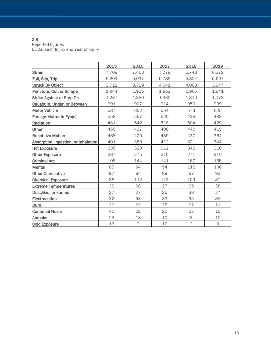#### 2.8

Reported Injuries By Cause of Injury and Year of Injury

<span id="page-12-0"></span>

|                                      | 2015  | 2016  | 2017  | 2018           | 2019  |
|--------------------------------------|-------|-------|-------|----------------|-------|
| <b>Strain</b>                        | 7,709 | 7,463 | 7,079 | 6,743          | 6,372 |
| Fall, Slip, Trip                     | 5,209 | 5,037 | 5,789 | 5,824          | 5,697 |
| <b>Struck By Object</b>              | 3,711 | 3,719 | 4,041 | 4,068          | 3,947 |
| Puncture, Cut, or Scrape             | 1,944 | 1,935 | 1,862 | 1,965          | 1,941 |
| <b>Strike Against or Step On</b>     | 1,287 | 1,380 | 1,332 | 1,310          | 1,178 |
| Caught In, Under, or Between         | 991   | 907   | 914   | 950            | 939   |
| <b>Motor Vehicle</b>                 | 587   | 602   | 554   | 573            | 625   |
| Foreign Matter in Eye(s)             | 558   | 557   | 520   | 438            | 483   |
| Radiation                            | 481   | 542   | 518   | 504            | 429   |
| Other                                | 455   | 437   | 406   | 440            | 415   |
| <b>Repetitive Motion</b>             | 468   | 429   | 439   | 437            | 364   |
| Absorption, Ingestion, or Inhalation | 401   | 389   | 412   | 321            | 344   |
| <b>Hot Exposure</b>                  | 335   | 328   | 312   | 342            | 310   |
| <b>Other Exposure</b>                | 287   | 275   | 316   | 271            | 216   |
| <b>Criminal Act</b>                  | 108   | 144   | 141   | 167            | 135   |
| <b>Mental</b>                        | 85    | 94    | 94    | 112            | 106   |
| <b>Other Cumulative</b>              | 97    | 84    | 89    | 97             | 93    |
| <b>Chemical Exposure</b>             | 88    | 112   | 113   | 109            | 87    |
| <b>Extreme Temperatures</b>          | 32    | 28    | 27    | 25             | 38    |
| Dust, Gas, or Fumes                  | 27    | 27    | 26    | 38             | 37    |
| Electrocution                        | 32    | 53    | 33    | 35             | 35    |
| <b>Burn</b>                          | 20    | 23    | 25    | 22             | 21    |
| <b>Continual Noise</b>               | 40    | 22    | 26    | 25             | 16    |
| Abrasion                             | 23    | 18    | 10    | 8              | 10    |
| <b>Cold Exposure</b>                 | 13    | 9     | 12    | $\overline{2}$ | 9     |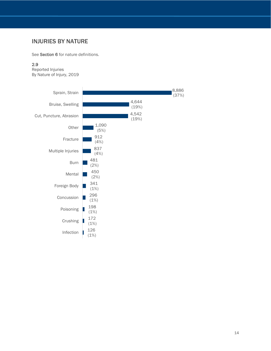## INJURIES BY NATURE

See Section 6 for nature definitions.

#### 2.9

Reported Injuries By Nature of Injury, 2019

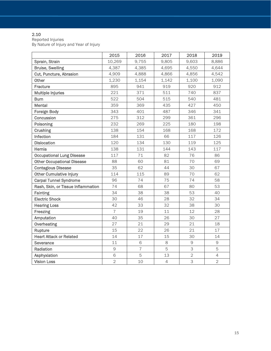#### 2.10

Reported Injuries

By Nature of Injury and Year of Injury

|                                    | 2015           | 2016           | 2017           | 2018           | 2019           |
|------------------------------------|----------------|----------------|----------------|----------------|----------------|
| Sprain, Strain                     | 10,269         | 9,755          | 9,805          | 9,603          | 8,886          |
| <b>Bruise, Swelling</b>            | 4,387          | 4,385          | 4,695          | 4,550          | 4,644          |
| Cut, Puncture, Abrasion            | 4,909          | 4,888          | 4,866          | 4,856          | 4,542          |
| Other                              | 1,230          | 1,154          | 1,142          | 1,100          | 1,090          |
| Fracture                           | 895            | 941            | 919            | 920            | 912            |
| <b>Multiple Injuries</b>           | 221            | 371            | 511            | 740            | 837            |
| <b>Burn</b>                        | 522            | 504            | 515            | 540            | 481            |
| <b>Mental</b>                      | 359            | 369            | 435            | 427            | 450            |
| <b>Foreign Body</b>                | 343            | 401            | 487            | 346            | 341            |
| Concussion                         | 275            | 312            | 299            | 361            | 296            |
| Poisoning                          | 232            | 269            | 225            | 180            | 198            |
| <b>Crushing</b>                    | 138            | 154            | 168            | 168            | 172            |
| Infection                          | 184            | 131            | 66             | 117            | 126            |
| <b>Dislocation</b>                 | 120            | 134            | 130            | 119            | 125            |
| Hernia                             | 138            | 131            | 144            | 143            | 117            |
| <b>Occupational Lung Disease</b>   | 117            | 71             | 82             | 76             | 86             |
| <b>Other Occupational Disease</b>  | 88             | 60             | 81             | 70             | 69             |
| <b>Contagious Disease</b>          | 35             | 62             | 44             | 30             | 67             |
| <b>Other Cumulative Injury</b>     | 114            | 115            | 89             | 70             | 62             |
| <b>Carpal Tunnel Syndrome</b>      | 96             | 74             | 75             | 74             | 58             |
| Rash, Skin, or Tissue Inflammation | 74             | 68             | 67             | 80             | 53             |
| <b>Fainting</b>                    | 34             | 38             | 38             | 53             | 40             |
| <b>Electric Shock</b>              | 30             | 46             | 28             | 32             | 34             |
| <b>Hearing Loss</b>                | 42             | 33             | 32             | 38             | 30             |
| Freezing                           | $\overline{7}$ | 19             | 11             | 12             | 28             |
| Amputation                         | 40             | 35             | 26             | 30             | 27             |
| Overheating                        | 27             | 21             | 29             | 21             | 18             |
| Rupture                            | 15             | 22             | 26             | 21             | 17             |
| <b>Heart Attack or Related</b>     | 14             | 17             | 15             | 30             | 14             |
| <b>Severance</b>                   | 11             | 6              | 8              | 9              | $\mathsf{9}$   |
| Radiation                          | 9              | $\overline{7}$ | 5              | $\mathsf 3$    | 5              |
| Asphyxiation                       | 6              | 5              | 13             | $\overline{2}$ | $\overline{4}$ |
| <b>Vision Loss</b>                 | $\overline{2}$ | 10             | $\overline{4}$ | 3              | $\overline{2}$ |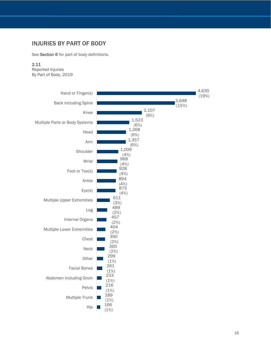## <span id="page-15-0"></span>INJURIES BY PART OF BODY

See **Section 6** for part of body definitions.<br>**2.11** 

Reported Injuries By Part of Body , 2019

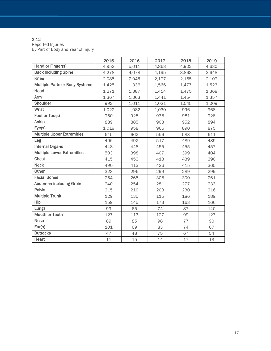#### 2.12

Reported Injuries By Part of Body and Year of Injury

|                                       | 2015  | 2016  | 2017  | 2018  | 2019  |
|---------------------------------------|-------|-------|-------|-------|-------|
| Hand or Finger(s)                     | 4,952 | 5,011 | 4,863 | 4,902 | 4,630 |
| <b>Back including Spine</b>           | 4,278 | 4,078 | 4,195 | 3,868 | 3,648 |
| <b>Knee</b>                           | 2,085 | 2,045 | 2,177 | 2,165 | 2,107 |
| <b>Multiple Parts or Body Systems</b> | 1,425 | 1,336 | 1,566 | 1,477 | 1,523 |
| Head                                  | 1,271 | 1,387 | 1,414 | 1,475 | 1,368 |
| Arm                                   | 1,367 | 1,363 | 1,441 | 1,454 | 1,357 |
| <b>Shoulder</b>                       | 992   | 1,011 | 1,021 | 1,045 | 1,009 |
| Wrist                                 | 1,022 | 1,082 | 1,030 | 996   | 968   |
| Foot or Toe(s)                        | 950   | 928   | 938   | 981   | 928   |
| Ankle                                 | 889   | 885   | 903   | 952   | 894   |
| Eye(s)                                | 1,019 | 958   | 966   | 890   | 875   |
| <b>Multiple Upper Extremities</b>     | 645   | 662   | 556   | 583   | 611   |
| Leg                                   | 496   | 492   | 517   | 489   | 489   |
| <b>Internal Organs</b>                | 448   | 448   | 455   | 455   | 457   |
| <b>Multiple Lower Extremities</b>     | 503   | 398   | 407   | 399   | 404   |
| <b>Chest</b>                          | 415   | 453   | 413   | 439   | 390   |
| <b>Neck</b>                           | 490   | 413   | 426   | 415   | 365   |
| Other                                 | 323   | 296   | 299   | 289   | 299   |
| <b>Facial Bones</b>                   | 254   | 265   | 308   | 300   | 261   |
| Abdomen including Groin               | 240   | 254   | 281   | 277   | 233   |
| <b>Pelvis</b>                         | 215   | 210   | 203   | 230   | 216   |
| <b>Multiple Trunk</b>                 | 129   | 135   | 115   | 186   | 189   |
| Hip                                   | 159   | 145   | 173   | 163   | 166   |
| Lungs                                 | 99    | 65    | 74    | 87    | 140   |
| <b>Mouth or Teeth</b>                 | 127   | 113   | 127   | 99    | 127   |
| <b>Nose</b>                           | 89    | 85    | 98    | 77    | 90    |
| Ear(s)                                | 101   | 69    | 83    | 74    | 67    |
| <b>Buttocks</b>                       | 47    | 48    | 75    | 67    | 54    |
| Heart                                 | 11    | 15    | 14    | 17    | 13    |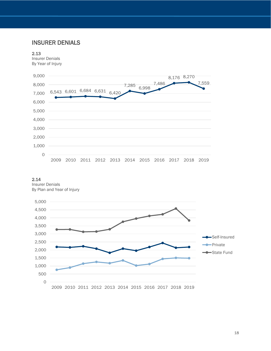## INSURER DENIALS

#### 2.13

Insurer Denials By Year of Injury



#### 2.14

<span id="page-17-0"></span>Insurer Denials By Plan and Year of Injury

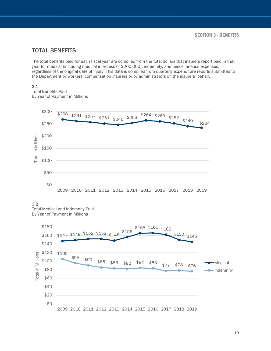## <span id="page-18-0"></span>TOTAL BENEFITS

The total benefits paid for each fiscal year are compiled from the total dollars that insurers report paid in that year for medical (including medical in excess of \$200,000), indemnity, and miscellaneous expenses, regardless of the original date of injury. This data is compiled from quarterly expenditure reports submitted to the Department by workers' compensation insurers or by administrators on the insurers' behalf.

#### 3.1

Total Benefits Paid By Year of Payment in Millions



#### 3.2

Total Medical and Indemnity Paid By Year of Payment in Millions

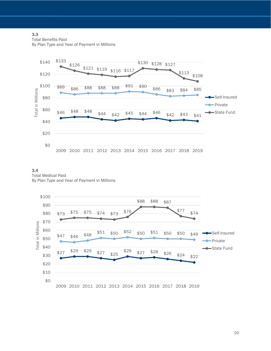#### 3.3

Total Benefits Paid

By Plan Type and Year of Payment in Millions



3.4 Total Medical Paid By Plan Type and Year of Payment in Millions



20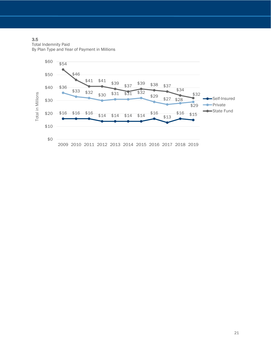#### 3.5

Total Indemnity Paid By Plan Type and Year of Payment in Millions

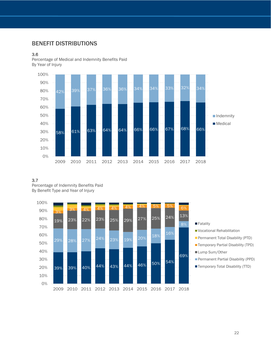## <span id="page-21-0"></span>BENEFIT DISTRIBUTIONS

#### 3.6

Percentage of Medical and Indemnity Benefits Paid By Year of Injury



#### 3.7

Percentage of Indemnity Benefits Paid By Benefit Type and Year of Injury

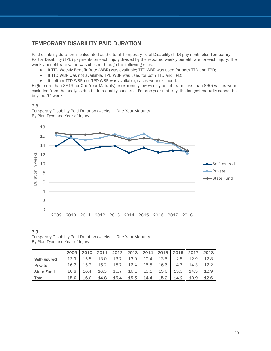## <span id="page-22-0"></span>TEMPORARY DISABILITY PAID DURATION

Paid disability duration is calculated as the total Temporary Total Disability (TTD) payments plus Temporary Partial Disability (TPD) payments on each injury divided by the reported weekly benefit rate for each injury. The weekly benefit rate value was chosen through the following rules:

- If TTD Weekly Benefit Rate (WBR) was available; TTD WBR was used for both TTD and TPD;
- If TTD WBR was not available, TPD WBR was used for both TTD and TPD;
- If neither TTD WBR nor TPD WBR was available, cases were excluded.

High (more than \$819 for One Year Maturity) or extremely low weekly benefit rate (less than \$60) values were excluded from the analysis due to data quality concerns. For one-year maturity, the longest maturity cannot be beyond 52 weeks.

#### 3.8

Temporary Disability Paid Duration (weeks) – One Year Maturity By Plan Type and Year of Injury



#### 3.9

Temporary Disability Paid Duration (weeks) – One Year Maturity By Plan Type and Year of Injury

<span id="page-22-1"></span>

|                   | 2009 | 2010 | 2011 | 2012 | 2013 | 2014 | 2015 | 2016 | 2017 | 2018 |
|-------------------|------|------|------|------|------|------|------|------|------|------|
| Self-Insured      | 13.9 | 15.8 | 13.0 | 13.7 | 13.9 | 12.4 | 13.5 | 12.5 | 12.9 | 12.8 |
| Private           | 16.2 | 15.7 | 15.2 | 15.  | 16.4 | 15.5 | 16.6 | 14.7 | 14.3 | 12.2 |
| <b>State Fund</b> | 16.8 | 16.4 | 16.3 | 16.7 | 16.1 | 15.1 | 15.6 | 15.3 | 14.5 | 12.9 |
| <b>Total</b>      | 15.6 | 16.0 | 14.8 | 15.4 | 15.5 | 14.4 | 15.2 | 14.2 | 13.9 | 12.6 |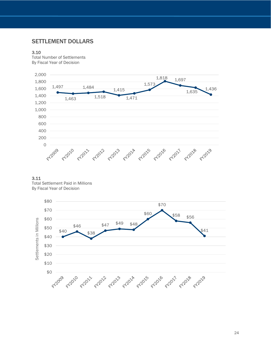### SETTLEMENT DOLLARS

#### 3.10

Total Number of Settlements By Fiscal Year of Decision





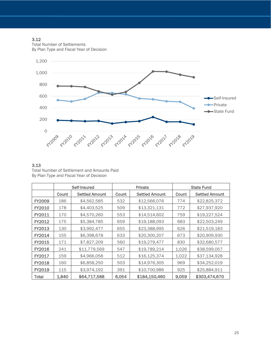#### 3.12

Total Number of Settlements By Plan Type and Fiscal Year of Decision



#### 3.13

Total Number of Settlement and Amounts Paid By Plan Type and Fiscal Year of Decision

|               |       | Self-Insured          | Private |                       |       | <b>State Fund</b>     |
|---------------|-------|-----------------------|---------|-----------------------|-------|-----------------------|
|               | Count | <b>Settled Amount</b> | Count   | <b>Settled Amount</b> | Count | <b>Settled Amount</b> |
| <b>FY2009</b> | 186   | \$4,562,585           | 532     | \$12,566,076          | 774   | \$22,825,372          |
| <b>FY2010</b> | 178   | \$4,403,525           | 509     | \$13,321,131          | 772   | \$27,937,920          |
| FY2011        | 170   | \$4,570,260           | 553     | \$14,514,602          | 759   | \$19,227,524          |
| FY2012        | 175   | \$5,384,785           | 659     | \$19,188,093          | 683   | \$22,503,249          |
| FY2013        | 130   | \$3,992,477           | 655     | \$23,388,995          | 626   | \$21,519,183          |
| FY2014        | 155   | \$6,398,678           | 633     | \$20,300,207          | 673   | \$20,909,930          |
| <b>FY2015</b> | 171   | \$7,827,209           | 560     | \$19,279,477          | 830   | \$32,680,577          |
| <b>FY2016</b> | 241   | \$11,779,569          | 547     | \$19,789,214          | 1,026 | \$38,599,057          |
| <b>FY2017</b> | 159   | \$4,966,058           | 512     | \$16,125,374          | 1,022 | \$37,134,928          |
| <b>FY2018</b> | 160   | \$6,858,250           | 503     | \$14,976,305          | 969   | \$34,252,019          |
| FY2019        | 115   | \$3,974,192           | 391     | \$10,700,986          | 925   | \$25,884,911          |
| <b>Total</b>  | 1,840 | \$64,717,588          | 6,054   | \$184,150,460         | 9,059 | \$303,474,670         |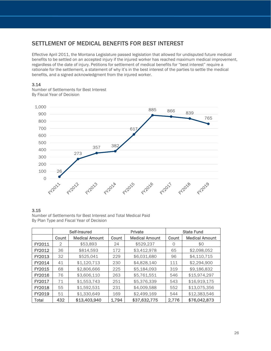## <span id="page-25-0"></span>SETTLEMENT OF MEDICAL BENEFITS FOR BEST INTEREST

Effective April 2011, the Montana Legislature passed legislation that allowed for undisputed future medical benefits to be settled on an accepted injury if the injured worker has reached maximum medical improvement, regardless of the date of injury. Petitions for settlement of medical benefits for "best interest" require a rationale for the settlement, a statement of why it's in the best interest of the parties to settle the medical benefits, and a signed acknowledgment from the injured worker.

#### 3.14

Number of Settlements for Best Interest By Fiscal Year of Decision



#### 3.15

Number of Settlements for Best Interest and Total Medical Paid By Plan Type and Fiscal Year of Decision

|               |       | Self-Insured          |       | Private               |       | <b>State Fund</b>     |
|---------------|-------|-----------------------|-------|-----------------------|-------|-----------------------|
|               | Count | <b>Medical Amount</b> | Count | <b>Medical Amount</b> | Count | <b>Medical Amount</b> |
| FY2011        | 2     | \$53,893              | 24    | \$529,237             | 0     | \$0                   |
| FY2012        | 36    | \$814,593             | 172   | \$3,412,978           | 65    | \$2,098,052           |
| FY2013        | 32    | \$525,041             | 229   | \$6,031,680           | 96    | \$4,110,715           |
| <b>FY2014</b> | 41    | \$1,120,713           | 230   | \$4,828,140           | 111   | \$2,294,900           |
| <b>FY2015</b> | 68    | \$2,806,666           | 225   | \$5,184,093           | 319   | \$9,186,832           |
| <b>FY2016</b> | 76    | \$3,606,110           | 263   | \$5,761,551           | 546   | \$15,974,297          |
| FY2017        | 71    | \$1,553,743           | 251   | \$5,376,339           | 543   | \$16,919,175          |
| <b>FY2018</b> | 55    | \$1,592,531           | 231   | \$4,009,588           | 552   | \$13,075,356          |
| <b>FY2019</b> | 51    | \$1,330,649           | 169   | \$2,499,169           | 544   | \$12,383,546          |
| Total         | 432   | \$13,403,940          | 1,794 | \$37,632,775          | 2.776 | \$76,042,873          |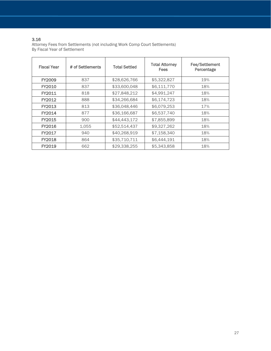#### 3.16

Attorney Fees from Settlements (not including Work Comp Court Settlements) By Fiscal Year of Settlement

| <b>Fiscal Year</b> | # of Settlements | <b>Total Settled</b> | <b>Total Attorney</b><br><b>Fees</b> | <b>Fee/Settlement</b><br>Percentage |
|--------------------|------------------|----------------------|--------------------------------------|-------------------------------------|
| <b>FY2009</b>      | 837              | \$28,626,766         | \$5,322,827                          | 19%                                 |
| FY2010             | 837              | \$33,600,048         | \$6,111,770                          | 18%                                 |
| FY2011             | 818              | \$27,848,212         | \$4,991,247                          | 18%                                 |
| FY2012             | 888              | \$34,266,684         | \$6,174,723                          | 18%                                 |
| FY2013             | 813              | \$36,048,446         | \$6,079,253                          | 17%                                 |
| FY2014             | 877              | \$36,166,687         | \$6,537,740                          | 18%                                 |
| FY2015             | 900              | \$44,443,172         | \$7,855,899                          | 18%                                 |
| <b>FY2016</b>      | 1,055            | \$52,514,437         | \$9,327,262                          | 18%                                 |
| FY2017             | 940              | \$40,268,919         | \$7,158,340                          | 18%                                 |
| <b>FY2018</b>      | 864              | \$35,710,711         | \$6,444.191                          | 18%                                 |
| FY2019             | 662              | \$29,338,255         | \$5,343,858                          | 18%                                 |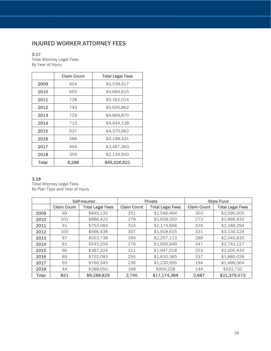## <span id="page-27-0"></span>INJURED WORKER ATTORNEY FEES

### 3.17

Total Attorney Legal Fees By Year of Injury

|       | <b>Claim Count</b> | <b>Total Legal Fees</b> |
|-------|--------------------|-------------------------|
| 2009  | 654                | \$5,539,917             |
| 2010  | 655                | \$4,684,815             |
| 2011  | 728                | \$5,162,014             |
| 2012  | 743                | \$5,635,862             |
| 2013  | 729                | \$4,869,870             |
| 2014  | 713                | \$4,944,138             |
| 2015  | 637                | \$4,370,662             |
| 2016  | 586                | \$4,198,431             |
| 2017  | 494                | \$3,487,363             |
| 2018  | 359                | \$2,133,550             |
| Total | 6,298              | \$45,026,621            |

#### 3.18

Total Attorney Legal Fees By Plan Type and Year of Injury

|       |                    | Self-Insured            |                    | Private                 |                    | <b>State Fund</b>       |  |
|-------|--------------------|-------------------------|--------------------|-------------------------|--------------------|-------------------------|--|
|       | <b>Claim Count</b> | <b>Total Legal Fees</b> | <b>Claim Count</b> | <b>Total Legal Fees</b> | <b>Claim Count</b> | <b>Total Legal Fees</b> |  |
| 2009  | 99                 | \$849,132               | 251                | \$1,596,404             | 303                | \$3,090,005             |  |
| 2010  | 101                | \$886,422               | 278                | \$1,928,050             | 273                | \$1,866,930             |  |
| 2011  | 91                 | \$752,083               | 314                | \$2,174,666             | 316                | \$2,186,294             |  |
| 2012  | 100                | \$566,438               | 307                | \$1,918,615             | 331                | \$3,130,124             |  |
| 2013  | 87                 | \$553,738               | 349                | \$2,257,113             | 289                | \$2,045,835             |  |
| 2014  | 81                 | \$543,204               | 276                | \$1,606,949             | 347                | \$2,743,127             |  |
| 2015  | 66                 | \$387,324               | 311                | \$1,947,018             | 253                | \$2,005,433             |  |
| 2016  | 89                 | \$702,093               | 255                | \$1,610,385             | 237                | \$1,880,028             |  |
| 2017  | 63                 | \$760,343               | 236                | \$1,230,956             | 194                | \$1,496,064             |  |
| 2018  | 44                 | \$288,050               | 168                | \$904,228               | 144                | \$932,732               |  |
| Total | 821                | \$6,288,829             | 2,745              | \$17,174,384            | 2,687              | \$21,376,573            |  |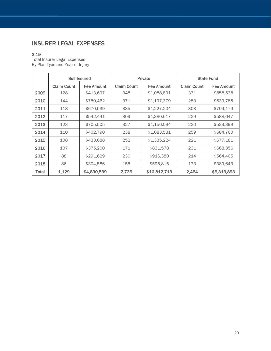## <span id="page-28-0"></span>INSURER LEGAL EXPENSES

### 3.19

Total Insurer Legal Expenses By Plan Type and Year of Injury

|       | Self-Insured       |                   |                    | Private      | <b>State Fund</b>  |             |
|-------|--------------------|-------------------|--------------------|--------------|--------------------|-------------|
|       | <b>Claim Count</b> | <b>Fee Amount</b> | <b>Claim Count</b> | Fee Amount   | <b>Claim Count</b> | Fee Amount  |
| 2009  | 128                | \$413,697         | 348                | \$1,088,891  | 331                | \$858,538   |
| 2010  | 144                | \$750,462         | 371                | \$1,197,379  | 283                | \$639,785   |
| 2011  | 118                | \$670,539         | 335                | \$1,227,204  | 303                | \$709,179   |
| 2012  | 117                | \$542,441         | 309                | \$1,380,617  | 229                | \$588,647   |
| 2013  | 123                | \$705,505         | 327                | \$1,156,094  | 220                | \$533,399   |
| 2014  | 110                | \$402,790         | 238                | \$1,083,531  | 259                | \$684,760   |
| 2015  | 108                | \$433,688         | 252                | \$1,335,224  | 221                | \$677,181   |
| 2016  | 107                | \$375,200         | 171                | \$831,578    | 231                | \$668,356   |
| 2017  | 88                 | \$291,629         | 230                | \$916,380    | 214                | \$564,405   |
| 2018  | 86                 | \$304,586         | 155                | \$595,815    | 173                | \$389,643   |
| Total | 1,129              | \$4,890,539       | 2,736              | \$10,812,713 | 2,464              | \$6,313,893 |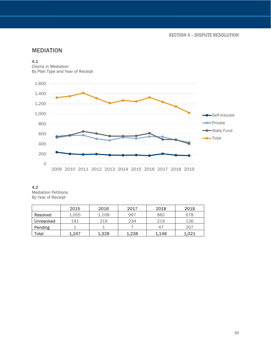SECTION 4 – DISPUTE RESOLUTION

## <span id="page-29-0"></span>MEDIATION

#### 4.1

Claims in Mediation By Plan Type and Year of Receipt



#### 4.2

Mediation Petitions By Year of Receipt

|                   | 2015  | 2016  | 2017  | 2018  | 2019  |
|-------------------|-------|-------|-------|-------|-------|
| Resolved          | 1,055 | 1.108 | 997   | 882   | 678   |
| <b>Unresolved</b> | 191   | 219   | 234   | 219   | 136   |
| Pending           |       |       |       | 47    | 207   |
| Total             | 1.247 | 1,328 | 1,238 | 1,148 | 1,021 |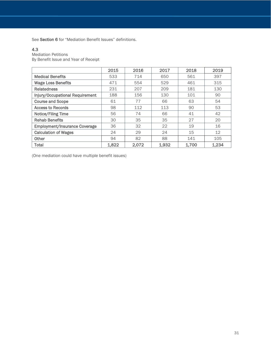See Section 6 for "Mediation Benefit Issues" definitions.

#### 4.3

Mediation Petitions

By Benefit Issue and Year of Receipt

|                                      | 2015  | 2016  | 2017  | 2018  | 2019  |
|--------------------------------------|-------|-------|-------|-------|-------|
| <b>Medical Benefits</b>              | 533   | 714   | 650   | 561   | 397   |
| <b>Wage Loss Benefits</b>            | 471   | 554   | 529   | 461   | 315   |
| <b>Relatedness</b>                   | 231   | 207   | 209   | 181   | 130   |
| Injury/Occupational Requirement      | 188   | 156   | 130   | 101   | 90    |
| <b>Course and Scope</b>              | 61    | 77    | 66    | 63    | 54    |
| <b>Access to Records</b>             | 98    | 112   | 113   | 90    | 53    |
| <b>Notice/Filing Time</b>            | 56    | 74    | 66    | 41    | 42    |
| <b>Rehab Benefits</b>                | 30    | 35    | 35    | 27    | 20    |
| <b>Employment/Insurance Coverage</b> | 36    | 32    | 22    | 19    | 16    |
| <b>Calculation of Wages</b>          | 24    | 29    | 24    | 15    | 12    |
| Other                                | 94    | 82    | 88    | 141   | 105   |
| <b>Total</b>                         | 1,822 | 2,072 | 1.932 | 1,700 | 1,234 |

<span id="page-30-0"></span>(One mediation could have multiple benefit issues)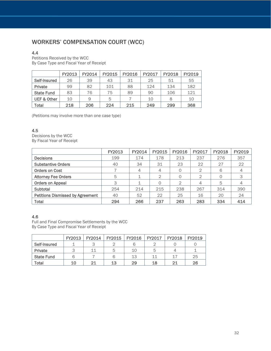## WORKERS' COMPENSATION COURT (WCC)

#### 4.4

Petitions Received by the WCC By Case Type and Fiscal Year of Receipt

|                        | FY2013 | FY2014 | FY2015 | FY2016 | FY2017 | <b>FY2018</b> | FY2019 |
|------------------------|--------|--------|--------|--------|--------|---------------|--------|
| Self-Insured           | 26     | 39     | 43     | 31     | 25     | 51            | 55     |
| Private                | 99     | 82     | 101    | 88     | 124    | 134           | 182    |
| <b>State Fund</b>      | 83     | 76     | 75     | 89     | 90     | 106           | 121    |
| <b>UEF &amp; Other</b> | 10     | 9      | 5      |        | 10     | 8             | 10     |
| Total                  | 218    | 206    | 224    | 215    | 249    | 299           | 368    |

(Petitions may involve more than one case type)

#### 4.5

Decisions by the WCC By Fiscal Year of Receipt

|                                         | FY2013 | <b>FY2014</b> | FY2015 | FY2016 | <b>FY2017</b> | FY2018 | FY2019 |
|-----------------------------------------|--------|---------------|--------|--------|---------------|--------|--------|
| <b>Decisions</b>                        | 199    | 174           | 178    | 213    | 237           | 276    | 357    |
| <b>Substantive Orders</b>               | 40     | 34            | 31     | 23     | 22            | 27     | 22     |
| <b>Orders on Cost</b>                   |        | 4             | 4      |        | 2             | 6      |        |
| <b>Attorney Fee Orders</b>              | 5      |               | 2      |        | っ             | 0      | 3      |
| <b>Orders on Appeal</b>                 | 3      |               |        | 2      | 4             | 5      |        |
| Subtotal                                | 254    | 214           | 215    | 238    | 267           | 314    | 390    |
| <b>Petitions Dismissed by Agreement</b> | 40     | 52            | 22     | 25     | 16            | 20     | 24     |
| <b>Total</b>                            | 294    | 266           | 237    | 263    | 283           | 334    | 414    |

#### 4.6

Full and Final Compromise Settlements by the WCC By Case Type and Fiscal Year of Receipt

|                   | <b>FY2013</b> | <b>FY2014</b> | <b>FY2015</b> | <b>FY2016</b> | <b>FY2017</b> | <b>FY2018</b> | FY2019 |
|-------------------|---------------|---------------|---------------|---------------|---------------|---------------|--------|
| Self-Insured      |               |               |               |               |               |               |        |
| Private           |               | 11            |               | 10            |               |               |        |
| <b>State Fund</b> |               |               |               | 13            | 11            | 17            | 25     |
| Total             | 10            |               | 13            | 29            | 18            | 21            | 26     |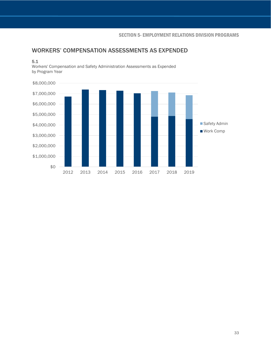## <span id="page-32-0"></span>WORKERS' COMPENSATION ASSESSMENTS AS EXPENDED

#### 5.1

Workers' Compensation and Safety Administration Assessments as Expended by Program Year

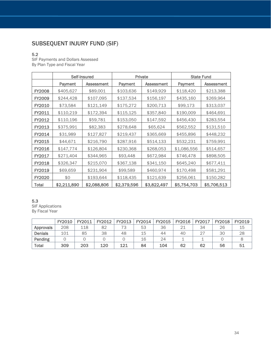## <span id="page-33-0"></span>SUBSEQUENT INJURY FUND (SIF)

#### 5.2

SIF Payments and Dollars Assessed By Plan Type and Fiscal Year

|               |             | Self-Insured      |             | Private           |             | <b>State Fund</b> |
|---------------|-------------|-------------------|-------------|-------------------|-------------|-------------------|
|               | Payment     | <b>Assessment</b> | Payment     | <b>Assessment</b> | Payment     | <b>Assessment</b> |
| <b>FY2008</b> | \$405,627   | \$89,001          | \$103,636   | \$149,929         | \$118,420   | \$213,388         |
| <b>FY2009</b> | \$244,428   | \$107,095         | \$137,534   | \$156,197         | \$435,160   | \$269,964         |
| <b>FY2010</b> | \$73,584    | \$121,149         | \$175,272   | \$200,713         | \$99,173    | \$313,037         |
| FY2011        | \$110,219   | \$172,394         | \$115,125   | \$357,840         | \$190,009   | \$464,691         |
| FY2012        | \$110,196   | \$59,781          | \$153,050   | \$147,592         | \$456,430   | \$283,554         |
| FY2013        | \$375,991   | \$82,383          | \$278,648   | \$65,624          | \$562,552   | \$131,510         |
| FY2014        | \$31,989    | \$127,827         | \$219,437   | \$365,669         | \$455,896   | \$448,232         |
| FY2015        | \$44,671    | \$216,790         | \$287,916   | \$514,133         | \$532,231   | \$759,991         |
| <b>FY2016</b> | \$147,774   | \$126,804         | \$230,368   | \$268,053         | \$1,086,556 | \$514,657         |
| FY2017        | \$271,404   | \$344,965         | \$93,448    | \$672,984         | \$746,478   | \$898,505         |
| <b>FY2018</b> | \$326,347   | \$215,070         | \$367,138   | \$341,150         | \$645,240   | \$677,411         |
| <b>FY2019</b> | \$69,659    | \$231,904         | \$99,589    | \$460,974         | \$170,498   | \$581,291         |
| <b>FY2020</b> | \$0         | \$193,644         | \$118,435   | \$121,639         | \$256,061   | \$150,282         |
| Total         | \$2,211,890 | \$2,088,806       | \$2,379,596 | \$3,822,497       | \$5,754,703 | \$5,706,513       |

#### 5.3

SIF Applications By Fiscal Year

|                | <b>FY2010</b> | FY2011 | FY2012 | FY2013 | FY2014 | <b>FY2015</b> | <b>FY2016</b> | FY2017 | <b>FY2018</b> | <b>FY2019</b> |
|----------------|---------------|--------|--------|--------|--------|---------------|---------------|--------|---------------|---------------|
| Approvals      | 208           | 118    | 82     |        | 53     | 36            |               | 34     | 26            | 15            |
| <b>Denials</b> | 101           | 85     | 38     | 48     | 15     | 44            | 40            | 27     | ЗС            | 28            |
| Pending        |               |        |        |        | 16     | 24            |               |        |               |               |
| Total          | 309           | 203    | 120    | 121    | 84     | 104           | 62            | 62     | 56            |               |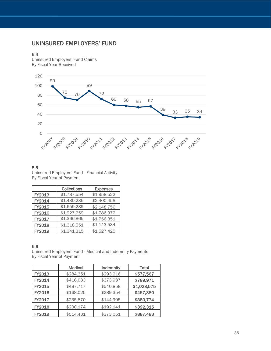## <span id="page-34-0"></span>UNINSURED EMPLOYERS' FUND

#### 5.4

Uninsured Employers' Fund Claims By Fiscal Year Received



#### 5.5

Uninsured Employers' Fund - Financial Activity By Fiscal Year of Payment

|        | <b>Collections</b> | <b>Expenses</b> |
|--------|--------------------|-----------------|
| FY2013 | \$1,787,554        | \$1,958,522     |
| FY2014 | \$1,430,236        | \$2,400,458     |
| FY2015 | \$1,659,289        | \$2,148,756     |
| FY2016 | \$1,927,259        | \$1,786,972     |
| FY2017 | \$1,366,865        | \$1,756,351     |
| FY2018 | \$1,318,551        | \$1,143,534     |
| FY2019 | \$1,341,315        | \$1,527,425     |

#### 5.6

Uninsured Employers' Fund - Medical and Indemnity Payments By Fiscal Year of Payment

|        | <b>Medical</b> | Indemnity | Total       |
|--------|----------------|-----------|-------------|
| FY2013 | \$284,351      | \$293,216 | \$577,567   |
| FY2014 | \$416,033      | \$373,937 | \$789,971   |
| FY2015 | \$487,717      | \$540,858 | \$1,028,575 |
| FY2016 | \$168,025      | \$289,354 | \$457,380   |
| FY2017 | \$235,870      | \$144,905 | \$380,774   |
| FY2018 | \$200,174      | \$192,141 | \$392,315   |
| FY2019 | \$514,431      | \$373,051 | \$887,483   |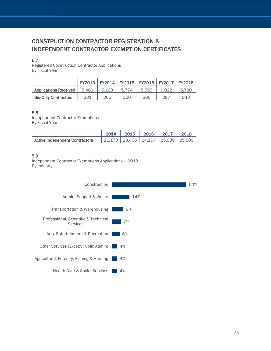## <span id="page-35-1"></span><span id="page-35-0"></span>CONSTRUCTION CONTRACTOR REGISTRATION & INDEPENDENT CONTRACTOR EXEMPTION CERTIFICATES

#### 5.7

Registered Construction Contractor Applications By Fiscal Year

|                              | FY2013 | FY2014 | FY2015   FY2016   FY2017 |       |       | FY2018 |
|------------------------------|--------|--------|--------------------------|-------|-------|--------|
| <b>Applications Received</b> | 5.463  | 5.168  | 5.774                    | 5.555 | 6.022 | 5.780  |
| <b>Bid-Only Contractors</b>  | 281    | 265    | 300                      | 265   | 287   | 243    |

#### 5.8

Independent Contractor Exemptions By Fiscal Year

|                                |                                            | 2015 | 2016 | 2017 | 2018 |
|--------------------------------|--------------------------------------------|------|------|------|------|
| Active Independent Contractors | 21,170   23,466   24,267   25,039   25,889 |      |      |      |      |

#### 5.9

Independent Contractor Exemptions Applications – 2018 By Industry

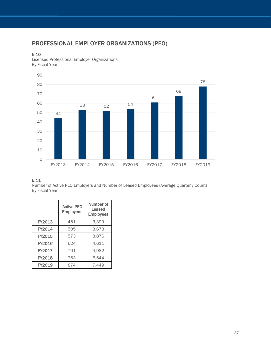## <span id="page-36-0"></span>PROFESSIONAL EMPLOYER ORGANIZATIONS (PEO)

#### 5.10

Licensed Professional Employer Organizations By Fiscal Year



#### 5.11

Number of Active PEO Employers and Number of Leased Employees (Average Quarterly Count) By Fiscal Year

|        | <b>Active PEO</b><br><b>Employers</b> | Number of<br>Leased<br><b>Employees</b> |
|--------|---------------------------------------|-----------------------------------------|
| FY2013 | 451                                   | 3,399                                   |
| FY2014 | 505                                   | 3,678                                   |
| FY2015 | 573                                   | 3,876                                   |
| FY2016 | 624                                   | 4,611                                   |
| FY2017 | 701                                   | 4,982                                   |
| FY2018 | 763                                   | 6,544                                   |
| FY2019 | 874                                   | 7.449                                   |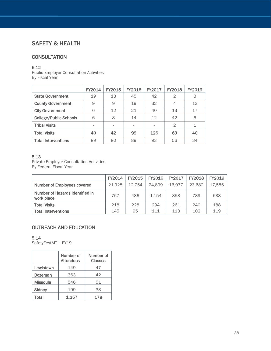## <span id="page-37-0"></span>SAFETY & HEALTH

## **CONSULTATION**

#### 5.12

Public Employer Consultation Activities By Fiscal Year

|                               | FY2014 | FY2015 | FY2016 | FY2017 | <b>FY2018</b> | FY2019 |
|-------------------------------|--------|--------|--------|--------|---------------|--------|
| <b>State Government</b>       | 19     | 13     | 45     | 42     | $\mathcal{D}$ | 3      |
| <b>County Government</b>      | 9      | 9      | 19     | 32     | 4             | 13     |
| <b>City Government</b>        | 6      | 12     | 21     | 40     | 13            | 17     |
| <b>College/Public Schools</b> | 6      | 8      | 14     | 12     | 42            | 6      |
| <b>Tribal Visits</b>          |        |        |        |        | $\mathcal{D}$ |        |
| <b>Total Visits</b>           | 40     | 42     | 99     | 126    | 63            | 40     |
| <b>Total Interventions</b>    | 89     | 80     | 89     | 93     | 56            | 34     |

#### 5.13

Private Employer Consultation Activities By Federal Fiscal Year

|                                               | <b>FY2014</b> | FY2015 | FY2016 | FY2017 | <b>FY2018</b> | FY2019 |
|-----------------------------------------------|---------------|--------|--------|--------|---------------|--------|
| <b>Number of Employees covered</b>            | 21.928        | 12.754 | 24.899 | 16.977 | 23.682        | 17,555 |
| Number of Hazards Identified in<br>work place | 767           | 486    | 1.154  | 858    | 789           | 638    |
| <b>Total Visits</b>                           | 218           | 228    | 294    | 261    | 240           | 188    |
| <b>Total Interventions</b>                    | 145           | 95     | 111    | 113    | 102           | 119    |

## OUTREACH AND EDUCATION

#### 5.14

SafetyFestMT - FY19

|                 | Number of<br><b>Attendees</b> | Number of<br><b>Classes</b> |
|-----------------|-------------------------------|-----------------------------|
| Lewistown       | 149                           | 47                          |
| <b>Bozeman</b>  | 363                           | 42                          |
| <b>Missoula</b> | 546                           | 51                          |
| Sidney          | 199                           | 38                          |
| Total           | 1.257                         | 178                         |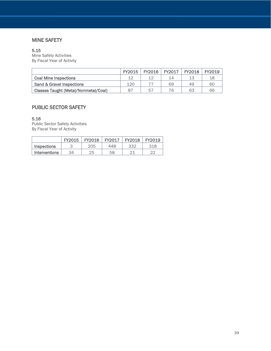## MINE SAFETY

#### 5.15

Mine Safety Activities By Fiscal Year of Activity

|                                             | <b>FY2015</b> | <b>FY2016</b> | FY2017 | FY2018 | FY2019 |
|---------------------------------------------|---------------|---------------|--------|--------|--------|
| <b>Coal Mine Inspections</b>                | イク            | イク            | 14     | 13     | 18     |
| Sand & Gravel Inspections                   | 120           |               | 69     | 49     | 60     |
| <b>Classes Taught (Metal/Nonmetal/Coal)</b> | 87            | 57            | 76     | 63     | 66     |

## PUBLIC SECTOR SAFETY

#### 5.16

Public Sector Safety Activities By Fiscal Year of Activity

<span id="page-38-0"></span>

|                      | <b>FY2015</b> | <b>FY2016</b> | <b>FY2017</b> | <b>FY2018</b> | FY2019 |
|----------------------|---------------|---------------|---------------|---------------|--------|
| <b>Inspections</b>   | っ             | 205           | 448           | 332           | 318    |
| <b>Interventions</b> | 34            | 25            | 58            | $\bigcap$ 1   | ററ     |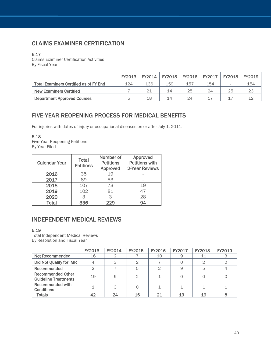## CLAIMS EXAMINER CERTIFICATION

#### 5.17

Claims Examiner Certification Activities By Fiscal Year

|                                               | FY2013 | FY2014 | FY2015 | <b>FY2016</b> | FY2017 | <b>FY2018</b> | FY2019 |
|-----------------------------------------------|--------|--------|--------|---------------|--------|---------------|--------|
| <b>Total Examiners Certified as of FY End</b> | 124    | 136    | 159    | 157           | 154    |               | 154    |
| New Examiners Certified                       |        | 21     | 14     | 25            | 24     | 25            | 23     |
| <b>Department Approved Courses</b>            |        | 18     | 14     | 24            |        |               | イウ     |

## <span id="page-39-0"></span>FIVE-YEAR REOPENING PROCESS FOR MEDICAL BENEFITS

For injuries with dates of injury or occupational diseases on or after July 1, 2011.

#### 5.18

Five-Year Reopening Petitions By Year Filed

| <b>Calendar Year</b> | <b>Total</b><br><b>Petitions</b> | Number of<br><b>Petitions</b><br>Approved | Approved<br><b>Petitions with</b><br>2-Year Reviews |
|----------------------|----------------------------------|-------------------------------------------|-----------------------------------------------------|
| 2016                 | 35                               | 19                                        |                                                     |
| 2017                 | 89                               | 53                                        |                                                     |
| 2018                 | 107                              | 73                                        | 19                                                  |
| 2019                 | 102                              | 81                                        | 47                                                  |
| 2020                 | З                                |                                           | 28                                                  |
| Total                | 336                              |                                           | 94                                                  |

## INDEPENDENT MEDICAL REVIEWS

#### 5.19

Total Independent Medical Reviews By Resolution and Fiscal Year

|                                                         | FY2013 | FY2014 | FY2015 | <b>FY2016</b> | <b>FY2017</b> | <b>FY2018</b> | FY2019 |
|---------------------------------------------------------|--------|--------|--------|---------------|---------------|---------------|--------|
| Not Recommended                                         | 16     |        |        | 10            | 9             | 11            |        |
| Did Not Qualify for IMR                                 |        | З      |        |               |               |               |        |
| Recommended                                             |        |        | 5      |               | 9             | 5             |        |
| <b>Recommended Other</b><br><b>Guideline Treatments</b> | 19     | 9      | 2      |               |               |               |        |
| <b>Recommended with</b><br><b>Conditions</b>            |        | 3      |        |               |               |               |        |
| Totals                                                  | 42     | 24     | 16     | 21            | 19            | 19            |        |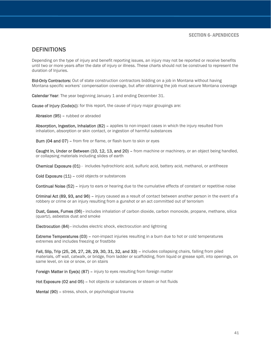## <span id="page-40-0"></span>**DEFINITIONS**

Depending on the type of injury and benefit reporting issues, an injury may not be reported or receive benefits until two or more years after the date of injury or illness. These charts should not be construed to represent the duration of Injuries.

Bid-Only Contractors: Out of state construction contractors bidding on a job in Montana without having Montana specific workers' compensation coverage, but after obtaining the job must secure Montana coverage

Calendar Year: The year beginning January 1 and ending December 31.

Cause of Injury (Code(s)): for this report, the cause of injury major groupings are:

Abrasion (95) – rubbed or abraded

Absorption, Ingestion, Inhalation (82) – applies to non-impact cases in which the injury resulted from inhalation, absorption or skin contact, or ingestion of harmful substances

Burn (04 and 07) – from fire or flame, or flash burn to skin or eyes

Caught In, Under or Between (10, 12, 13, and 20) – from machine or machinery, or an object being handled, or collapsing materials including slides of earth

Chemical Exposure (01) - includes hydrochloric acid, sulfuric acid, battery acid, methanol, or antifreeze

Cold Exposure (11) – cold objects or substances

Continual Noise (52) – injury to ears or hearing due to the cumulative effects of constant or repetitive noise

Criminal Act (89, 93, and 96) – injury caused as a result of contact between another person in the event of a robbery or crime or an injury resulting from a gunshot or an act committed out of terrorism

Dust, Gases, Fumes (06) - includes inhalation of carbon dioxide, carbon monoxide, propane, methane, silica (quartz), asbestos dust and smoke

Electrocution (84) - includes electric shock, electrocution and lightning

Extreme Temperatures (03) – non-impact injuries resulting in a burn due to hot or cold temperatures extremes and includes freezing or frostbite

Fall, Slip, Trip (25, 26, 27, 28, 29, 30, 31, 32, and 33) – includes collapsing chairs, falling from piled materials, off wall, catwalk, or bridge, from ladder or scaffolding, from liquid or grease spill, into openings, on same level, on ice or snow, or on stairs

Foreign Matter in Eye(s) (87) - injury to eyes resulting from foreign matter

Hot Exposure (02 and 05) – hot objects or substances or steam or hot fluids

Mental (90) – stress, shock, or psychological trauma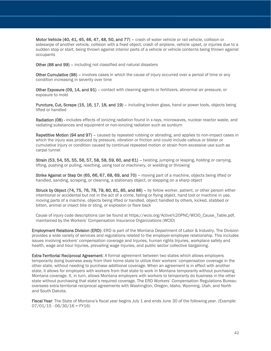Motor Vehicle (40, 41, 45, 46, 47, 48, 50, and 77) – crash of water vehicle or rail vehicle, collision or sideswipe of another vehicle, collision with a fixed object, crash of airplane, vehicle upset, or injuries due to a sudden stop or start, being thrown against interior parts of a vehicle or vehicle contents being thrown against occupants

Other (88 and 99) – including not classified and natural disasters

Other Cumulative (98) – involves cases in which the cause of injury occurred over a period of time or any condition increasing in severity over time

Other Exposure (09, 14, and 91) – contact with cleaning agents or fertilizers, abnormal air pressure, or exposure to mold

Puncture, Cut, Scrape (15, 16, 17, 18, and 19) – including broken glass, hand or power tools, objects being lifted or handled

Radiation (08) - includes effects of ionizing radiation found in x-rays, microwaves, nuclear reactor waste, and radiating substances and equipment or non-ionizing radiation such as sunburn

Repetitive Motion (94 and 97) – caused by repeated rubbing or abrading, and applies to non-impact cases in which the injury was produced by pressure, vibration or friction and could include callous or blister or cumulative injury or condition caused by continual repeated motion or strain from excessive use such as carpal tunnel

Strain (53, 54, 55, 55, 56, 57, 58, 58, 59, 60, and 61) – twisting, jumping or leaping, holding or carrying, lifting, pushing or pulling, reaching, using tool or machinery, or wielding or throwing

Strike Against or Step On (65, 66, 67, 68, 69, and 70) – moving part of a machine, objects being lifted or handled, sanding, scraping, or cleaning, a stationary object, or stepping on a sharp object

Struck by Object (74, 75, 76, 78, 79, 80, 81, 85, and 86) – by fellow worker, patient, or other person either intentional or accidental but not in the act of a crime, falling or flying object, hand tool or machine in use, moving parts of a machine, objects being lifted or handled, object handled by others, kicked, stabbed or bitten, animal or insect bite or sting, or explosion or flare back

Cause of injury code descriptions can be found at https://wcio.org/Active%20PNC/WCIO\_Cause\_Table.pdf, maintained by the Workers' Compensation Insurance Organizations (WCIO)

Employment Relations Division (ERD): ERD is part of the Montana Department of Labor & Industry. The Division provides a wide variety of services and regulations related to the employer-employee relationship. This includes issues involving workers' compensation coverage and Injuries, human rights Injuries, workplace safety and health, wage and hour Injuries, prevailing wage Injuries, and public sector collective bargaining.

Extra-Territorial Reciprocal Agreement: A formal agreement between two states which allows employers temporarily doing business away from their home state to utilize their workers' compensation coverage in the other state, without needing to purchase additional coverage. When an agreement is in effect with another state, it allows for employers with workers from that state to work in Montana temporarily without purchasing Montana coverage. It, in turn, allows Montana employers with workers to temporarily do business in the other state without purchasing that state's required coverage. The ERD Workers' Compensation Regulations Bureau oversees extra-territorial reciprocal agreements with Washington, Oregon, Idaho, Wyoming, Utah, and North and South Dakota.

Fiscal Year: The State of Montana's fiscal year begins July 1 and ends June 30 of the following year. (Example:  $07/01/15 - 06/30/16 = FY16$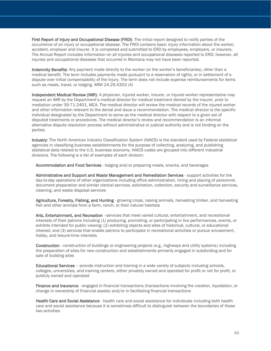First Report of Injury and Occupational Disease (FROI): The initial report designed to notify parties of the occurrence of an injury or occupational disease. The FROI contains basic injury information about the worker, accident, employer and insurer. It is completed and submitted to ERD by employees, employers, or insurers. The Annual Report includes information on all injuries and occupational diseases reported to ERD; however, all injuries and occupational diseases that occurred in Montana may not have been reported.

Indemnity Benefits: Any payment made directly to the worker (or the worker's beneficiaries), other than a medical benefit. The term includes payments made pursuant to a reservation of rights, or in settlement of a dispute over initial compensability of the Injury. The term does not include expense reimbursements for items such as meals, travel, or lodging. ARM 24.29.4303 (4)

Independent Medical Review (IMR): A physician, injured worker, insurer, or injured worker representative may request an IMR by the Department's medical director for medical treatment denied by the insurer, prior to mediation under 39-71-2401, MCA. The medical director will review the medical records of the injured worker and other information relevant to the denial and issue a recommendation. The medical director is the specific individual designated by the Department to serve as the medical director with respect to a given set of disputed treatments or procedures. The medical director's review and recommendation is an informal alternative dispute resolution process without administrative or judicial authority and is not binding on the parties.

Industry: The North American Industry Classification System (NAICS) is the standard used by Federal statistical agencies in classifying business establishments for the purpose of collecting, analyzing, and publishing statistical data related to the U.S. business economy. NAICS codes are grouped into different industrial divisions. The following is a list of examples of each division:

Accommodation and Food Services - lodging and/or preparing meals, snacks, and beverages

Administrative and Support and Waste Management and Remediation Services - support activities for the day-to-day operations of other organizations including office administration, hiring and placing of personnel, document preparation and similar clerical services, solicitation, collection, security and surveillance services, cleaning, and waste disposal services

Agriculture, Forestry, Fishing, and Hunting - growing crops, raising animals, harvesting timber, and harvesting fish and other animals from a farm, ranch, or their natural habitats

Arts, Entertainment, and Recreation - services that meet varied cultural, entertainment, and recreational interests of their patrons including (1) producing, promoting, or participating in live performances, events, or exhibits intended for public viewing; (2) exhibiting objects and sites of historical, cultural, or educational interest; and (3) services that enable patrons to participate in recreational activities or pursue amusement, hobby, and leisure-time interests

Construction - construction of buildings or engineering projects (e.g., highways and utility systems) including the preparation of sites for new construction and establishments primarily engaged in subdividing and for sale of building sites

Educational Services – provide instruction and training in a wide variety of subjects including schools, colleges, universities, and training centers, either privately owned and operated for profit or not for profit, or publicly owned and operated

Finance and Insurance - engaged in financial transactions (transactions involving the creation, liquidation, or change in ownership of financial assets) and/or in facilitating financial transactions

Health Care and Social Assistance - health care and social assistance for individuals including both health care and social assistance because it is sometimes difficult to distinguish between the boundaries of these two activities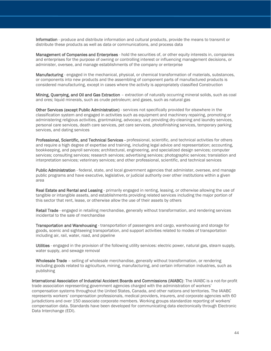Information - produce and distribute information and cultural products, provide the means to transmit or distribute these products as well as data or communications, and process data

Management of Companies and Enterprises - hold the securities of, or other equity interests in, companies and enterprises for the purpose of owning or controlling interest or influencing management decisions, or administer, oversee, and manage establishments of the company or enterprise

Manufacturing - engaged in the mechanical, physical, or chemical transformation of materials, substances, or components into new products and the assembling of component parts of manufactured products is considered manufacturing, except in cases where the activity is appropriately classified Construction

Mining, Quarrying, and Oil and Gas Extraction - extraction of naturally occurring mineral solids, such as coal and ores; liquid minerals, such as crude petroleum; and gases, such as natural gas

Other Services (except Public Administration) - services not specifically provided for elsewhere in the classification system and engaged in activities such as equipment and machinery repairing, promoting or administering religious activities, grantmaking, advocacy, and providing dry-cleaning and laundry services, personal care services, death care services, pet care services, photofinishing services, temporary parking services, and dating services

Professional, Scientific, and Technical Services - professional, scientific, and technical activities for others and require a high degree of expertise and training, including legal advice and representation; accounting, bookkeeping, and payroll services; architectural, engineering, and specialized design services; computer services; consulting services; research services; advertising services; photographic services; translation and interpretation services; veterinary services; and other professional, scientific, and technical services

Public Administration - federal, state, and local government agencies that administer, oversee, and manage public programs and have executive, legislative, or judicial authority over other institutions within a given area

Real Estate and Rental and Leasing - primarily engaged in renting, leasing, or otherwise allowing the use of tangible or intangible assets, and establishments providing related services including the major portion of this sector that rent, lease, or otherwise allow the use of their assets by others

Retail Trade - engaged in retailing merchandise, generally without transformation, and rendering services incidental to the sale of merchandise

Transportation and Warehousing - transportation of passengers and cargo, warehousing and storage for goods, scenic and sightseeing transportation, and support activities related to modes of transportation including air, rail, water, road, and pipeline

Utilities - engaged in the provision of the following utility services: electric power, natural gas, steam supply, water supply, and sewage removal

Wholesale Trade - selling of wholesale merchandise, generally without transformation, or rendering including goods related to agriculture, mining, manufacturing, and certain information industries, such as publishing

International Association of Industrial Accident Boards and Commissions (IAIABC): The IAIABC is a not-for-profit trade association representing government agencies charged with the administration of workers' compensation systems throughout the United States, Canada, and other nations and territories. The IAIABC represents workers' compensation professionals, medical providers, insurers, and corporate agencies with 60 jurisdictions and over 150 associate corporate members. Working groups standardize reporting of workers' compensation data. Standards have been developed for communicating data electronically through Electronic Data Interchange (EDI).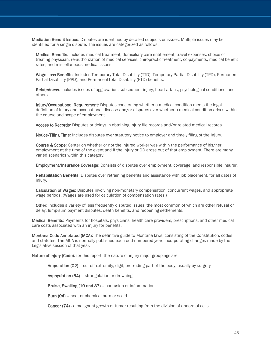Mediation Benefit Issues: Disputes are identified by detailed subjects or issues. Multiple issues may be identified for a single dispute. The issues are categorized as follows:

Medical Benefits: Includes medical treatment, domiciliary care entitlement, travel expenses, choice of treating physician, re-authorization of medical services, chiropractic treatment, co-payments, medical benefit rates, and miscellaneous medical issues.

Wage Loss Benefits: Includes Temporary Total Disability (TTD), Temporary Partial Disability (TPD), Permanent Partial Disability (PPD), and PermanentTotal Disability (PTD) benefits.

Relatedness: Includes issues of aggravation, subsequent injury, heart attack, psychological conditions, and others.

Injury/Occupational Requirement: Disputes concerning whether a medical condition meets the legal definition of injury and occupational disease and/or disputes over whether a medical condition arises within the course and scope of employment.

Access to Records: Disputes or delays in obtaining Injury file records and/or related medical records.

Notice/Filing Time: Includes disputes over statutory notice to employer and timely filing of the Injury.

Course & Scope: Center on whether or not the injured worker was within the performance of his/her employment at the time of the event and if the injury or OD arose out of that employment. There are many varied scenarios within this category.

Employment/Insurance Coverage: Consists of disputes over employment, coverage, and responsible insurer.

Rehabilitation Benefits: Disputes over retraining benefits and assistance with job placement, for all dates of injury.

Calculation of Wages: Disputes involving non-monetary compensation, concurrent wages, and appropriate wage periods. (Wages are used for calculation of compensation rates.)

Other: Includes a variety of less frequently disputed issues, the most common of which are other refusal or delay, lump-sum payment disputes, death benefits, and reopening settlements.

Medical Benefits: Payments for hospitals, physicians, health care providers, prescriptions, and other medical care costs associated with an injury for benefits.

Montana Code Annotated (MCA): The definitive guide to Montana laws, consisting of the Constitution, codes, and statutes. The MCA is normally published each odd-numbered year, incorporating changes made by the Legislative session of that year.

Nature of Injury (Code): for this report, the nature of injury major groupings are:

Amputation (02) – cut off extremity, digit, protruding part of the body, usually by surgery

Asphyxiation (54) – strangulation or drowning

Bruise, Swelling (10 and 37) – contusion or inflammation

Burn (04) – heat or chemical burn or scald

**Cancer (74)** - a malignant growth or tumor resulting from the division of abnormal cells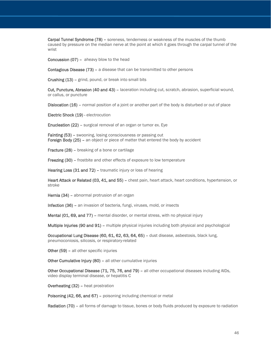Carpal Tunnel Syndrome (78) – soreness, tenderness or weakness of the muscles of the thumb caused by pressure on the median nerve at the point at which it goes through the carpal tunnel of the wrist

Concussion (07) – aheavy blow to the head

Contagious Disease (73) - a disease that can be transmitted to other persons

Crushing (13) – grind, pound, or break into small bits

Cut, Puncture, Abrasion (40 and 43) – laceration including cut, scratch, abrasion, superficial wound, or callus, or puncture

Dislocation (16) – normal position of a joint or another part of the body is disturbed or out of place

Electric Shock (19) - electrocution

Enucleation (22) – surgical removal of an organ or tumor ex. Eye

Fainting (53) – swooning, losing consciousness or passing out Foreign Body (25) – an object or piece of matter that entered the body by accident

Fracture (28) – breaking of a bone or cartilage

Freezing (30) – frostbite and other effects of exposure to low temperature

Hearing Loss (31 and 72) – traumatic injury or loss of hearing

Heart Attack or Related (03, 41, and 55) - chest pain, heart attack, heart conditions, hypertension, or stroke

Hernia (34) – abnormal protrusion of an organ

Infection (36) – an invasion of bacteria, fungi, viruses, mold, or insects

Mental (01, 69, and 77) – mental disorder, or mental stress, with no physical injury

Multiple Injuries (90 and 91) – multiple physical injuries including both physical and psychological

Occupational Lung Disease (60, 61, 62, 63, 64, 65) – dust disease, asbestosis, black lung, pneumoconiosis, silicosis, or respiratory-related

Other (59) - all other specific injuries

Other Cumulative Injury (80) - all other cumulative injuries

Other Occupational Disease (71, 75, 76, and 79) – all other occupational diseases including AIDs, video display terminal disease, or hepatitis C

Overheating (32) – heat prostration

Poisoning (42, 66, and 67) – poisoning including chemical or metal

Radiation (70) – all forms of damage to tissue, bones or body fluids produced by exposure to radiation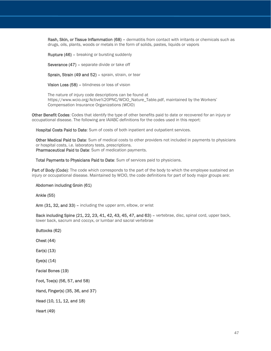Rash, Skin, or Tissue Inflammation (68) – dermatitis from contact with irritants or chemicals such as drugs, oils, plants, woods or metals in the form of solids, pastes, liquids or vapors

Rupture (46) – breaking or bursting suddenly

Severance (47) – separate divide or take off

Sprain, Strain (49 and 52) – sprain, strain, or tear

Vision Loss (58) – blindness or loss of vision

The nature of injury code descriptions can be found at https://www.wcio.org/Active%20PNC/WCIO\_Nature\_Table.pdf, maintained by the Workers' Compensation Insurance Organizations (WCIO)

Other Benefit Codes: Codes that identify the type of other benefits paid to date or recovered for an injury or occupational disease. The following are IAIABC definitions for the codes used in this report:

Hospital Costs Paid to Date: Sum of costs of both inpatient and outpatient services.

Other Medical Paid to Date: Sum of medical costs to other providers not included in payments to physicians or hospital costs, i.e. laboratory tests, prescriptions. Pharmaceutical Paid to Date: Sum of medication payments.

Total Payments to Physicians Paid to Date: Sum of services paid to physicians.

Part of Body (Code): The code which corresponds to the part of the body to which the employee sustained an injury or occupational disease. Maintained by WCIO, the code definitions for part of body major groups are:

Abdomen including Groin (61)

Ankle (55)

Arm (31, 32, and 33) – including the upper arm, elbow, or wrist

Back including Spine (21, 22, 23, 41, 42, 43, 45, 47, and 63) – vertebrae, disc, spinal cord, upper back, lower back, sacrum and coccyx, or lumbar and sacral vertebrae

Buttocks (62)

Chest (44)

Ear(s) (13)

Eye(s) (14)

Facial Bones (19)

Foot, Toe(s) (56, 57, and 58)

Hand, Finger(s) (35, 36, and 37)

Head (10, 11, 12, and 18)

Heart (49)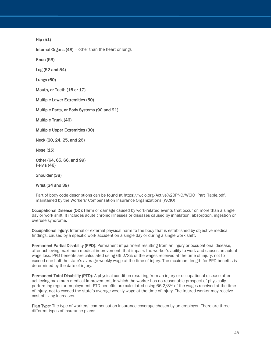Hip (51)

Internal Organs (48) – other than the heart or lungs

Knee (53)

Leg (52 and 54)

Lungs (60)

Mouth, or Teeth (16 or 17)

Multiple Lower Extremities (50)

Multiple Parts, or Body Systems (90 and 91)

Multiple Trunk (40)

Multiple Upper Extremities (30)

Neck (20, 24, 25, and 26)

Nose (15)

Other (64, 65, 66, and 99) Pelvis (46)

Shoulder (38)

Wrist (34 and 39)

Part of body code descriptions can be found at https://wcio.org/Active%20PNC/WCIO\_Part\_Table.pdf, maintained by the Workers' Compensation Insurance Organizations (WCIO)

Occupational Disease (OD): Harm or damage caused by work-related events that occur on more than a single day or work shift. It includes acute chronic illnesses or diseases caused by inhalation, absorption, ingestion or overuse syndrome.

Occupational Injury: Internal or external physical harm to the body that is established by objective medical findings, caused by a specific work accident on a single day or during a single work shift.

Permanent Partial Disability (PPD): Permanent impairment resulting from an injury or occupational disease, after achieving maximum medical improvement, that impairs the worker's ability to work and causes an actual wage loss. PPD benefits are calculated using 66 2/3% of the wages received at the time of injury, not to exceed one-half the state's average weekly wage at the time of injury. The maximum length for PPD benefits is determined by the date of injury.

Permanent Total Disability (PTD): A physical condition resulting from an injury or occupational disease after achieving maximum medical improvement, in which the worker has no reasonable prospect of physically performing regular employment. PTD benefits are calculated using 66 2/3% of the wages received at the time of injury, not to exceed the state's average weekly wage at the time of injury. The injured worker may receive cost of living increases.

Plan Type: The type of workers' compensation insurance coverage chosen by an employer. There are three different types of insurance plans: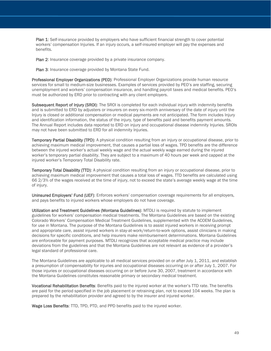Plan 1: Self-insurance provided by employers who have sufficient financial strength to cover potential workers' compensation Injuries. If an injury occurs, a self-insured employer will pay the expenses and benefits.

Plan 2: Insurance coverage provided by a private insurance company.

Plan 3: Insurance coverage provided by Montana State Fund.

Professional Employer Organizations (PEO): Professional Employer Organizations provide human resource services for small to medium-size businesses. Examples of services provided by PEO's are staffing, securing unemployment and workers' compensation insurance, and handling payroll taxes and medical benefits. PEO's must be authorized by ERD prior to contracting with any client employers.

Subsequent Report of Injury (SROI): The SROI is completed for each individual injury with indemnity benefits and is submitted to ERD by adjusters or insurers on every six-month anniversary of the date of injury until the Injury is closed or additional compensation or medical payments are not anticipated. The form includes Injury and identification information, the status of the injury, type of benefits paid and benefits payment amounts. The Annual Report includes data reported to ERD on injury and occupational disease indemnity Injuries. SROIs may not have been submitted to ERD for all indemnity Injuries.

Temporary Partial Disability (TPD): A physical condition resulting from an injury or occupational disease, prior to achieving maximum medical improvement, that causes a partial loss of wages. TPD benefits are the difference between the injured worker's actual weekly wage and the actual weekly wage earned during the injured worker's temporary partial disability. They are subject to a maximum of 40 hours per week and capped at the injured worker's Temporary Total Disability rate.

Temporary Total Disability (TTD): A physical condition resulting from an injury or occupational disease, prior to achieving maximum medical improvement that causes a total loss of wages. TTD benefits are calculated using 66 2/3% of the wages received at the time of injury, not to exceed the state's average weekly wage at the time of injury.

Uninsured Employers' Fund (UEF): Enforces workers' compensation coverage requirements for all employers, and pays benefits to injured workers whose employers do not have coverage.

Utilization and Treatment Guidelines (Montana Guidelines): MTDLI is required by statute to implement guidelines for workers' compensation medical treatments. The Montana Guidelines are based on the existing Colorado Workers' Compensation Medical Treatment Guidelines, supplemented with the ACOEM Guidelines, for use in Montana. The purpose of the Montana Guidelines is to assist injured workers in receiving prompt and appropriate care, assist injured workers in stay-at-work/return-to-work options, assist clinicians in making decisions for specific conditions, and help insurers make reimbursement determinations. Montana Guidelines are enforceable for payment purposes. MTDLI recognizes that acceptable medical practice may include deviations from the guidelines and that the Montana Guidelines are not relevant as evidence of a provider's legal standard of professional care.

The Montana Guidelines are applicable to all medical services provided on or after July 1, 2011, and establish a presumption of compensability for injuries and occupational diseases occurring on or after July 1, 2007. For those injuries or occupational diseases occurring on or before June 30, 2007, treatment in accordance with the Montana Guidelines constitutes reasonable primary or secondary medical treatment.

Vocational Rehabilitation Benefits: Benefits paid to the injured worker at the worker's TTD rate. The benefits are paid for the period specified in the job placement or retraining plan, not to exceed 104 weeks. The plan is prepared by the rehabilitation provider and agreed to by the insurer and injured worker.

Wage Loss Benefits: TTD, TPD, PTD, and PPD benefits paid to the injured worker.